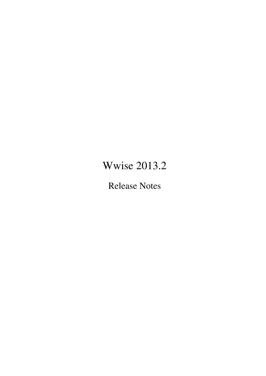# <span id="page-0-0"></span>Wwise 2013.2

Release Notes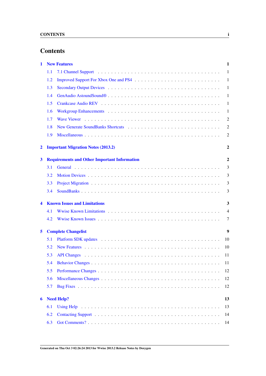# **Contents**

| 1                       |                                                                     | <b>New Features</b>                       | 1                |  |
|-------------------------|---------------------------------------------------------------------|-------------------------------------------|------------------|--|
|                         | 1.1                                                                 |                                           | $\mathbf{1}$     |  |
|                         | 1.2                                                                 |                                           | -1               |  |
|                         | 1.3                                                                 |                                           | $\mathbf{1}$     |  |
|                         | 1.4                                                                 |                                           | -1               |  |
|                         | 1.5                                                                 |                                           | -1               |  |
|                         | 1.6                                                                 |                                           | -1               |  |
|                         | 1.7                                                                 |                                           | $\overline{c}$   |  |
|                         | 1.8                                                                 |                                           | $\overline{c}$   |  |
|                         | 1.9                                                                 |                                           | 2                |  |
| $\overline{\mathbf{2}}$ |                                                                     | <b>Important Migration Notes (2013.2)</b> | $\boldsymbol{2}$ |  |
| 3                       | $\mathbf{2}$<br><b>Requirements and Other Important Information</b> |                                           |                  |  |
|                         | 3.1                                                                 |                                           | 3                |  |
|                         | 3.2                                                                 |                                           | 3                |  |
|                         | 3.3                                                                 |                                           | 3                |  |
|                         | 3.4                                                                 |                                           | 3                |  |
| 4                       | <b>Known Issues and Limitations</b><br>3                            |                                           |                  |  |
|                         | 4.1                                                                 |                                           | $\overline{4}$   |  |
|                         | 4.2                                                                 |                                           | 7                |  |
| 5                       | $\boldsymbol{9}$<br><b>Complete Changelist</b>                      |                                           |                  |  |
|                         | 5.1                                                                 |                                           | 10               |  |
|                         | 5.2                                                                 |                                           | 10               |  |
|                         | 5.3                                                                 |                                           | 11               |  |
|                         | 5.4                                                                 |                                           | 11               |  |
|                         | 5.5                                                                 |                                           | 12               |  |
|                         | 5.6                                                                 |                                           | 12               |  |
|                         | 5.7                                                                 |                                           | 12               |  |
| 6                       | 13<br><b>Need Help?</b>                                             |                                           |                  |  |
|                         | 6.1                                                                 |                                           | 13               |  |
|                         | 6.2                                                                 |                                           | 14               |  |
|                         | 6.3                                                                 |                                           | 14               |  |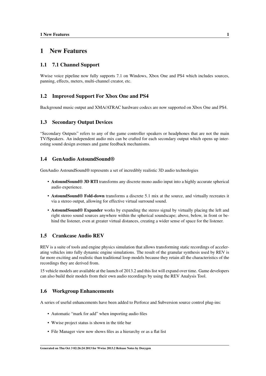# <span id="page-2-0"></span>1 New Features

### <span id="page-2-1"></span>1.1 7.1 Channel Support

<span id="page-2-8"></span>Wwise voice pipeline now fully supports 7.1 on Windows, Xbox One and PS4 which includes sources, panning, effects, meters, multi-channel creator, etc.

### <span id="page-2-2"></span>1.2 Improved Support For Xbox One and PS4

<span id="page-2-7"></span>Background music output and XMA/ATRAC hardware codecs are now supported on Xbox One and PS4.

### <span id="page-2-3"></span>1.3 Secondary Output Devices

"Secondary Outputs" refers to any of the game controller speakers or headphones that are not the main TV/Speakers. An independent audio mix can be crafted for each secondary output which opens up interesting sound design avenues and game feedback mechanisms.

### <span id="page-2-4"></span>1.4 GenAudio AstoundSound®

GenAudio AstoundSound® represents a set of incredibly realistic 3D audio technologies

- <span id="page-2-9"></span>• AstoundSound® 3D RTI transforms any discrete mono audio input into a highly accurate spherical audio experience.
- AstoundSound® Fold-down transforms a discrete 5.1 mix at the source, and virtually recreates it via a stereo output, allowing for effective virtual surround sound.
- AstoundSound® Expander works by expanding the stereo signal by virtually placing the left and right stereo sound sources anywhere within the spherical soundscape; above, below, in front or behind the listener, even at greater virtual distances, creating a wider sense of space for the listener.

### <span id="page-2-10"></span><span id="page-2-5"></span>1.5 Crankcase Audio REV

REV is a suite of tools and engine physics simulation that allows transforming static recordings of accelerating vehicles into fully dynamic engine simulations. The result of the granular synthesis used by REV is far more exciting and realistic than traditional loop models because they retain all the characteristics of the recordings they are derived from.

15 vehicle models are available at the launch of 2013.2 and this list will expand over time. Game developers can also build their models from their own audio recordings by using the REV Analysis Tool.

### <span id="page-2-6"></span>1.6 Workgroup Enhancements

A series of useful enhancements have been added to Perforce and Subversion source control plug-ins:

- <span id="page-2-11"></span>• Automatic "mark for add" when importing audio files
- Wwise project status is shown in the title bar
- File Manager view now shows files as a hierarchy or as a flat list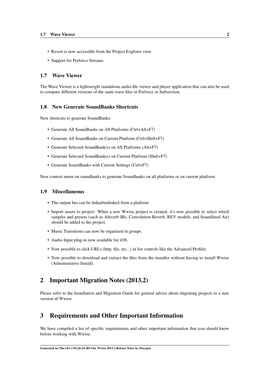- Revert is now accessible from the Project Explorer view
- Support for Perforce Streams

### <span id="page-3-6"></span><span id="page-3-0"></span>1.7 Wave Viewer

The Wave Viewer is a lightweight standalone audio file viewer and player application that can also be used to compare different versions of the same wave files in Perforce or Subversion.

### <span id="page-3-1"></span>1.8 New Generate SoundBanks Shortcuts

New shortcuts to generate SoundBanks:

- <span id="page-3-5"></span>• Generate All SoundBanks on All Platforms (Ctrl+Alt+F7)
- Generate All SoundBanks on Current Platform (Ctrl+Shift+F7)
- Generate Selected SoundBank(s) on All Platforms (Alt+F7)
- Generate Selected SoundBank(s) on Current Platform (Shift+F7)
- Generate SoundBanks with Current Settings (Ctrl+F7)

New context menu on soundbanks to generate Soundbanks on all platforms or on current platform.

### <span id="page-3-2"></span>1.9 Miscellaneous

- The output bus can be linked/unlinked from a platform
- Import assets to project: When a new Wwise project is created, it's now possible to select which samples and presets (such as Altiverb IRs, Convolution Reverb, REV models, and SoundSeed Air) should be added to the project.
- Music Transitions can now be organized in groups.
- Audio Input plug-in now available for iOS.
- Now possible to click URLs (http, file, etc...) in list controls like the Advanced Profiler.
- Now possible to download and extract the files from the installer without having to install Wwise (Administrative Install).

# <span id="page-3-3"></span>2 Important Migration Notes (2013.2)

Please refer to the Installation and Migration Guide for general advice about migrating projects to a new version of Wwise.

# <span id="page-3-4"></span>3 Requirements and Other Important Information

We have compiled a list of specific requirements and other important information that you should know before working with Wwise.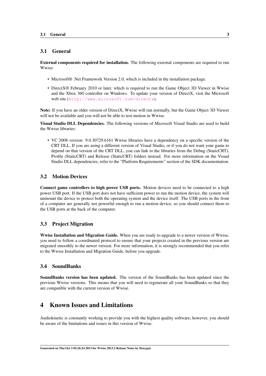### <span id="page-4-0"></span>3.1 General

External components required for installation. The following external components are required to run Wwise:

- Microsoft® .Net Framework Version 2.0, which is included in the installation package.
- DirectX® February 2010 or later, which is required to run the Game Object 3D Viewer in Wwise and the Xbox 360 controller on Windows. To update your version of DirectX, visit the Microsoft web site (<http://www.microsoft.com/directx>).

Note: If you have an older version of DirectX, Wwise will run normally, but the Game Object 3D Viewer will not be available and you will not be able to test motion in Wwise.

Visual Studio DLL Dependencies. The following versions of Microsoft Visual Studio are used to build the Wwise libraries:

• VC 2008 version: 9.0.30729.6161 Wwise libraries have a dependency on a specific version of the CRT DLL. If you are using a different version of Visual Studio, or if you do not want your game to depend on that version of the CRT DLL, you can link to the libraries from the Debug (StaticCRT), Profile (StaticCRT) and Release (StaticCRT) folders instead. For more information on the Visual Studio DLL dependencies, refer to the "Platform Requirements" section of the SDK documentation.

### <span id="page-4-1"></span>3.2 Motion Devices

Connect game controllers to high power USB ports. Motion devices need to be connected to a high power USB port. If the USB port does not have sufficient power to run the motion device, the system will unmount the device to protect both the operating system and the device itself. The USB ports in the front of a computer are generally not powerful enough to run a motion device, so you should connect them to the USB ports at the back of the computer.

### <span id="page-4-2"></span>3.3 Project Migration

Wwise Installation and Migration Guide. When you are ready to upgrade to a newer version of Wwise, you need to follow a coordinated protocol to ensure that your projects created in the previous version are migrated smoothly to the newer version. For more information, it is strongly recommended that you refer to the Wwise Installation and Migration Guide, before you upgrade.

### <span id="page-4-3"></span>3.4 SoundBanks

SoundBanks version has been updated. The version of the SoundBanks has been updated since the previous Wwise versions. This means that you will need to regenerate all your SoundBanks so that they are compatible with the current version of Wwise.

# <span id="page-4-4"></span>4 Known Issues and Limitations

Audiokinetic is constantly working to provide you with the highest quality software; however, you should be aware of the limitations and issues in this version of Wwise.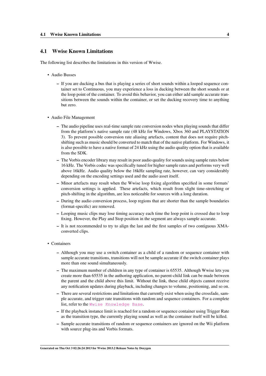### <span id="page-5-0"></span>4.1 Wwise Known Limitations

The following list describes the limitations in this version of Wwise.

- Audio Busses
	- If you are ducking a bus that is playing a series of short sounds within a looped sequence container set to Continuous, you may experience a loss in ducking between the short sounds or at the loop point of the container. To avoid this behavior, you can either add sample accurate transitions between the sounds within the container, or set the ducking recovery time to anything but zero.
- Audio File Management
	- The audio pipeline uses real-time sample rate conversion nodes when playing sounds that differ from the platform's native sample rate (48 kHz for Windows, Xbox 360 and PLAYSTATION 3). To prevent possible conversion rate aliasing artefacts, content that does not require pitchshifting such as music should be converted to match that of the native platform. For Windows, it is also possible to have a native format of 24 kHz using the audio quality option that is available from the SDK.
	- The Vorbis encoder library may result in poor audio quality for sounds using sample rates below 16 kHz. The Vorbis codec was specifically tuned for higher sample rates and performs very well above 16kHz. Audio quality below the 16kHz sampling rate, however, can vary considerably depending on the encoding settings used and the audio asset itself.
	- Minor artefacts may result when the Wwise loop fixing algorithm specified in some formats' conversion settings is applied. These artefacts, which result from slight time-stretching or pitch-shifting in the algorithm, are less noticeable for sources with a long duration.
	- During the audio conversion process, loop regions that are shorter than the sample boundaries (format-specific) are removed.
	- Looping music clips may lose timing accuracy each time the loop point is crossed due to loop fixing. However, the Play and Stop position in the segment are always sample accurate.
	- It is not recommended to try to align the last and the first samples of two contiguous XMAconverted clips.
- Containers
	- Although you may use a switch container as a child of a random or sequence container with sample accurate transitions, transitions will not be sample accurate if the switch container plays more than one sound simultaneously.
	- The maximum number of children in any type of container is 65535. Although Wwise lets you create more than 65535 in the authoring application, no parent-child link can be made between the parent and the child above this limit. Without the link, these child objects cannot receive any notification updates during playback, including changes to volume, positioning, and so on.
	- There are several restrictions and limitations that currently exist when using the crossfade, sample accurate, and trigger rate transitions with random and sequence containers. For a complete list, refer to the [Wwise Knowledge Base](http://kb.gowwise.com/).
	- If the playback instance limit is reached for a random or sequence container using Trigger Rate as the transition type, the currently playing sound as well as the container itself will be killed.
	- Sample accurate transitions of random or sequence containers are ignored on the Wii platform with source plug-ins and Vorbis formats.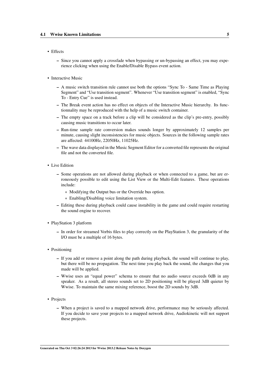- Effects
	- Since you cannot apply a crossfade when bypassing or un-bypassing an effect, you may experience clicking when using the Enable/Disable Bypass event action.
- Interactive Music
	- A music switch transition rule cannot use both the options "Sync To Same Time as Playing Segment" and "Use transition segment". Whenever "Use transition segment" is enabled, "Sync To - Entry Cue" is used instead.
	- The Break event action has no effect on objects of the Interactive Music hierarchy. Its functionnality may be reproduced with the help of a music switch container.
	- The empty space on a track before a clip will be considered as the clip's pre-entry, possibly causing music transitions to occur later.
	- Run-time sample rate conversion makes sounds longer by approximately 12 samples per minute, causing slight inconsistencies for music objects. Sources in the following sample rates are affected: 44100Hz, 22050Hz, 11025Hz.
	- The wave data displayed in the Music Segment Editor for a converted file represents the original file and not the converted file.
- Live Edition
	- Some operations are not allowed during playback or when connected to a game, but are erroneously possible to edit using the List View or the Multi-Edit features. These operations include:
		- \* Modifying the Output bus or the Override bus option.
		- \* Enabling/Disabling voice limitation system.
	- Editing these during playback could cause instability in the game and could require restarting the sound engine to recover.
- PlayStation 3 platform
	- In order for streamed Vorbis files to play correctly on the PlayStation 3, the granularity of the I/O must be a multiple of 16 bytes.
- Positioning
	- If you add or remove a point along the path during playback, the sound will continue to play, but there will be no propagation. The next time you play back the sound, the changes that you made will be applied.
	- Wwise uses an "equal power" schema to ensure that no audio source exceeds 0dB in any speaker. As a result, all stereo sounds set to 2D positioning will be played 3dB quieter by Wwise. To maintain the same mixing reference, boost the 2D sounds by 3dB.
- Projects
	- When a project is saved to a mapped network drive, performance may be seriously affected. If you decide to save your projects to a mapped network drive, Audiokinetic will not support these projects.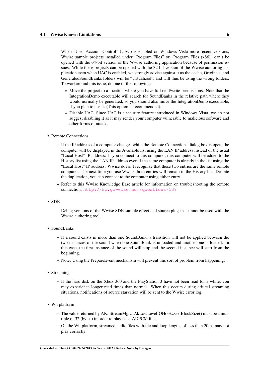- When "User Account Control" (UAC) is enabled on Windows Vista more recent versions, Wwise sample projects installed under "Program Files" or "Program Files (x86)" can't be opened with the 64-bit version of the Wwise authoring application because of permission issues. While these projects can be opened with the 32-bit version of the Wwise authoring application even when UAC is enabled, we strongly advise against it as the cache, Originals, and GeneratedSoundBanks folders will be "virtualized", and will thus be using the wrong folders. To workaround this issue, do one of the following:
	- \* Move the project to a location where you have full read/write permissions. Note that the IntegrationDemo executable will search for SoundBanks in the relative path where they would normally be generated, so you should also move the IntegrationDemo executable, if you plan to use it. (This option is recommended).
	- \* Disable UAC. Since UAC is a security feature introduced in Windows Vista, we do not suggest disabling it as it may render your computer vulnerable to malicious software and other forms of attacks.
- Remote Connections
	- If the IP address of a computer changes while the Remote Connections dialog box is open, the computer will be displayed in the Available list using the LAN IP address instead of the usual "Local Host" IP address. If you connect to this computer, this computer will be added to the History list using the LAN IP address even if the same computer is already in the list using the "Local Host" IP address. Wwise doesn't recognize that these two entries are the same remote computer. The next time you use Wwise, both entries will remain in the History list. Despite the duplication, you can connect to the computer using either entry.
	- Refer to this Wwise Knowledge Base article for information on troubleshooting the remote connection: <http://kb.gowwise.com/questions/137>
- SDK
	- Debug versions of the Wwise SDK sample effect and source plug-ins cannot be used with the Wwise authoring tool.
- SoundBanks
	- If a sound exists in more than one SoundBank, a transition will not be applied between the two instances of the sound when one SoundBank is unloaded and another one is loaded. In this case, the first instance of the sound will stop and the second instance will start from the beginning.
	- Note: Using the PrepareEvent mechanism will prevent this sort of problem from happening.
- Streaming
	- If the hard disk on the Xbox 360 and the PlayStation 3 have not been read for a while, you may experience longer read times than normal. When this occurs during critical streaming situations, notifications of source starvation will be sent to the Wwise error log.
- Wii platform
	- The value returned by AK::StreamMgr::IAkLowLevelIOHook::GetBlockSize() must be a multiple of 32 (bytes) in order to play back ADPCM files.
	- On the Wii platform, streamed audio files with file and loop lengths of less than 20ms may not play correctly.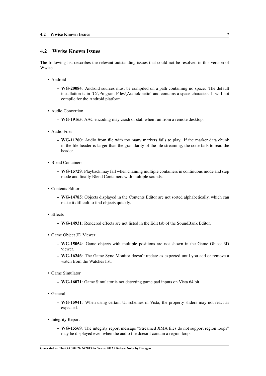### <span id="page-8-0"></span>4.2 Wwise Known Issues

The following list describes the relevant outstanding issues that could not be resolved in this version of Wwise.

- Android
	- WG-20084: Android sources must be compiled on a path containing no space. The default installation is in 'C:\Program Files\Audiokinetic' and contains a space character. It will not compile for the Android platform.
- Audio Convertion
	- WG-19165: AAC encoding may crash or stall when run from a remote desktop.
- Audio Files
	- WG-11260: Audio from file with too many markers fails to play. If the marker data chunk in the file header is larger than the granularity of the file streaming, the code fails to read the header.
- Blend Containers
	- WG-15729: Playback may fail when chaining multiple containers in continuous mode and step mode and finally Blend Containers with multiple sounds.
- Contents Editor
	- WG-14785: Objects displayed in the Contents Editor are not sorted alphabetically, which can make it difficult to find objects quickly.
- Effects
	- WG-14931: Rendered effects are not listed in the Edit tab of the SoundBank Editor.
- Game Object 3D Viewer
	- WG-15054: Game objects with multiple positions are not shown in the Game Object 3D viewer.
	- WG-16246: The Game Sync Monitor doesn't update as expected until you add or remove a watch from the Watches list.
- Game Simulator
	- WG-16071: Game Simulator is not detecting game pad inputs on Vista 64 bit.
- General
	- WG-15941: When using certain UI schemes in Vista, the property sliders may not react as expected.
- Integrity Report
	- WG-15569: The integrity report message "Streamed XMA files do not support region loops" may be displayed even when the audio file doesn't contain a region loop.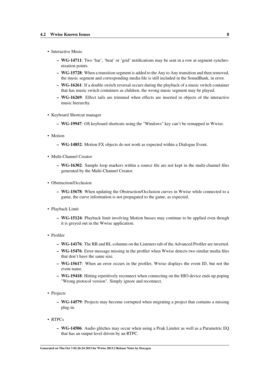- Interactive Music
	- WG-14711: Two 'bar', 'beat' or 'grid' notifications may be sent in a row at segment synchronization points.
	- WG-15728: When a transition segment is added to the Any to Any transition and then removed, the music segment and corresponding media file is still included in the SoundBank, in error.
	- WG-16261: If a double switch reversal occurs during the playback of a music switch container that has music switch containers as children, the wrong music segment may be played.
	- WG-16269: Effect tails are trimmed when effects are inserted in objects of the interactive music hierarchy.
- Keyboard Shortcut manager
	- WG-19947: OS keyboard shortcuts using the "Windows" key can't be remapped in Wwise.
- Motion
	- WG-14852: Motion FX objects do not work as expected within a Dialogue Event.
- Multi-Channel Creator
	- WG-16302: Sample loop markers within a source file are not kept in the multi-channel files generated by the Multi-Channel Creator.
- Obstruction/Occlusion
	- WG-15678: When updating the Obstruction/Occlusion curves in Wwise while connected to a game, the curve information is not propagated to the game, as expected.
- Playback Limit
	- WG-15124: Playback limit involving Motion busses may continue to be applied even though it is greyed out in the Wwise application.
- Profiler
	- WG-14176: The RR and RL columns on the Listeners tab of the Advanced Profiler are inverted.
	- WG-15476: Error message missing in the profiler when Wwise detects two similar media files that don't have the same size.
	- WG-15617: When an error occurs in the profiler, Wwise displays the event ID, but not the event name.
	- WG-19418: Hitting repetitively reconnect when connecting on the HIO device ends up poping "Wrong protocol version". Simply ignore and reconnect.
- Projects
	- WG-14579: Projects may become corrupted when migrating a project that contains a missing plug-in.
- RTPCs
	- WG-14506: Audio glitches may occur when using a Peak Limiter as well as a Parametric EQ that has an output level driven by an RTPC.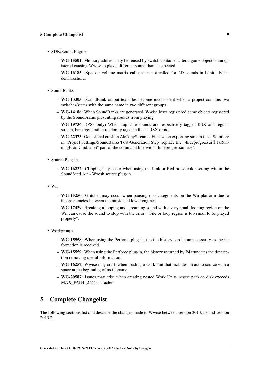- SDK/Sound Engine
	- WG-15501: Memory address may be reused by switch container after a game object is unregistered causing Wwise to play a different sound than is expected.
	- WG-16185: Speaker volume matrix callback is not called for 2D sounds in IsInitiallyUnderThreshold.
- SoundBanks
	- WG-13305: SoundBank output text files become inconsistent when a project contains two switches/states with the same name in two different groups.
	- WG-14186: When SoundBanks are generated, Wwise loses registered game objects registered by the SoundFrame preventing sounds from playing.
	- WG-19736: (PS3 only) When duplicate sounds are respectively tagged RSX and regular stream, bank generation randomly tags the file as RSX or not.
	- WG-22373: Occasional crash in AkCopyStreamedFiles when exporting stream files. Solution: in "Project Settings/SoundBanks/Post-Generation Step" replace the "-hideprogressui \$(IsRunningFromCmdLine)" part of the command line with "-hideprogressui true".
- Source Plug-ins
	- WG-16232: Clipping may occur when using the Pink or Red noise color setting within the SoundSeed Air - Woosh source plug-in.
- Wii
	- WG-15250: Glitches may occur when pausing music segments on the Wii platform due to inconsistencies between the music and lower engines.
	- WG-17439: Breaking a looping and streaming sound with a very small looping region on the Wii can cause the sound to stop with the error: "File or loop region is too small to be played properly".
- Workgroups
	- WG-15558: When using the Perforce plug-in, the file history scrolls unnecessarily as the information is received.
	- WG-15559: When using the Perforce plug-in, the history returned by P4 truncates the description removing useful information.
	- WG-16257: Wwise may crash when loading a work unit that includes an audio source with a space at the beginning of its filename.
	- WG-20587: Issues may arise when creating nested Work Units whose path on disk exceeds MAX\_PATH (255) characters.

# <span id="page-10-0"></span>5 Complete Changelist

The following sections list and describe the changes made to Wwise between version 2013.1.3 and version 2013.2.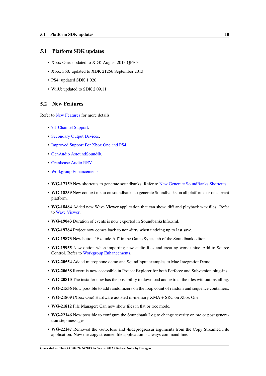### <span id="page-11-0"></span>5.1 Platform SDK updates

- Xbox One: updated to XDK August 2013 OFE 3
- Xbox 360: updated to XDK 21256 September 2013
- PS4: updated SDK 1.020
- WiiU: updated to SDK 2.09.11

#### <span id="page-11-1"></span>5.2 New Features

Refer to [New Features](#page-0-0) for more details.

- [7.1 Channel Support.](#page-2-1)
- [Secondary Output Devices.](#page-2-7)
- [Improved Support For Xbox One and PS4.](#page-2-8)
- [GenAudio AstoundSound®.](#page-2-9)
- [Crankcase Audio REV.](#page-2-10)
- [Workgroup Enhancements.](#page-2-11)
- WG-17159 New shortcuts to generate soundbanks. Refer to [New Generate SoundBanks Shortcuts.](#page-3-5)
- WG-18359 New context menu on soundbanks to generate Soundbanks on all platforms or on current platform.
- WG-18484 Added new Wave Viewer application that can show, diff and playback wav files. Refer to [Wave Viewer.](#page-3-6)
- WG-19043 Duration of events is now exported in SoundbanksInfo.xml.
- WG-19784 Project now comes back to non-dirty when undoing up to last save.
- WG-19873 New button "Exclude All" in the Game Syncs tab of the Soundbank editor.
- WG-19955 New option when importing new audio files and creating work units: Add to Source Control. Refer to [Workgroup Enhancements.](#page-2-11)
- WG-20554 Added microphone demo and SoundInput examples to Mac IntegrationDemo.
- WG-20638 Revert is now accessible in Project Explorer for both Perforce and Subversion plug-ins.
- WG-20810 The installer now has the possibility to download and extract the files without installing.
- WG-21536 Now possible to add randomizers on the loop count of random and sequence containers.
- WG-21809 (Xbox One) Hardware assisted in-memory XMA + SRC on Xbox One.
- WG-21812 File Manager: Can now show files in flat or tree mode.
- WG-22146 Now possible to configure the Soundbank Log to change severity on pre or post generation step messages.
- WG-22147 Removed the -autoclose and -hideprogressui arguments from the Copy Streamed File application. Now the copy streamed file application is always command line.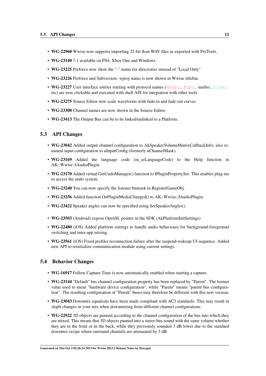- WG-22960 Wwise now supports importing 32-bit float WAV files as exported with ProTools.
- WG-23140 7.1 available on PS4, Xbox One and Windows.
- WG-23225 Perforce now show the "-" status for directories instead of "Local Only"
- WG-23226 Perforce and Subversion: wproj status is now shown in Wwise titlebar.
- WG-23227 User interface entries starting with protocol names (<http:,> <ftp:,> mailto:, [file:,](#page-0-0) etc) are now clickable and executed with shell API for integration with other tools
- WG-23275 Source Editor now scale waveforms with fade-in and fade-out curves.
- WG-23308 Channel names are now shown in the Source Editor.
- WG-23413 The Output Bus can be to be linked/unlinked to a Platform.

### <span id="page-12-0"></span>5.3 API Changes

- WG-23042 Added output channel configuration to AkSpeakerVolumeMatrixCallbackInfo; also renamed input configuration to uInputConfig (formerly uChannelMask).
- WG-23169 Added the language code (in\_szLanguageCode) to the Help function in AK::Wwise::IAudioPlugin.
- WG-23170 Added virtual GetUndoManager() function to IPluginPropertySet. This enables plug-ins to access the undo system.
- WG-23240 You can now specify the listener bitmask in RegisterGameObj.
- WG-23256 Added function OnPluginMediaChanged() to AK::Wwise::IAudioPlugin.
- WG-23422 Speaker angles can now be specified using SetSpeakerAngles().
- WG-23503 (Android) expose OpenSL pointer in the SDK (AkPlatformInitSettings)
- WG-22480 (iOS) Added platform settings to handle audio behaviours for background-foreground switching and inter-app mixing.
- WG-23561 (iOS) Fixed profiler reconnection failure after the suspend-wakeup UI sequence. Added new API to reinitialize communication module using current settings.

#### <span id="page-12-1"></span>5.4 Behavior Changes

- WG-16917 Follow Capture Time is now automatically enabled when starting a capture.
- WG-23144 "Default" bus channel configuration property has been replaced by "Parent". The former value used to mean "hardware device configuration", while "Parent" means "parent bus configuration". The resulting configuration of "Parent" buses may therefore be different with this new version.
- WG-23043 Downmix equations have been made compliant with AC3 standards. This may result in slight changes in your mix when downmixing from different channel configurations.
- WG-22922 3D objects are panned according to the channel configuration of the bus into which they are mixed. This means that 3D objects panned into a stereo bus sound with the same volume whether they are in the front or in the back, while they previously sounded 3 dB lower due to the standard downmix recipe where surround channels are attenuated by 3 dB.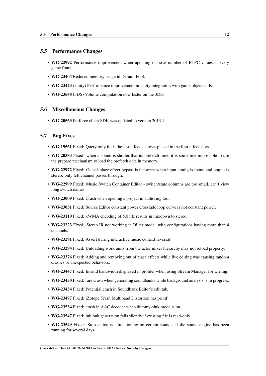### <span id="page-13-0"></span>5.5 Performance Changes

- WG-22992 Performance improvement when updating massive number of RTPC values at every game frame.
- WG-23404 Reduced memory usage in Default Pool.
- WG-23423 (Unity) Performance improvement in Unity integration with game object calls.
- WG-23648 (3DS) Volume computation now faster on the 3DS.

### <span id="page-13-1"></span>5.6 Miscellaneous Changes

• WG-20563 Perforce client SDK was updated to version 2013.1

### <span id="page-13-2"></span>5.7 Bug Fixes

- WG-19561 Fixed: Query only finds the last effect shareset placed in the four effect slots.
- WG-20383 Fixed: when a sound is shorter that its prefetch time, it is sometime impossible to use the prepare mechanism to load the prefetch data in memory.
- WG-22972 Fixed: Out-of-place effect bypass is incorrect when input config is mono and output is stereo: only left channel passes through.
- WG-22999 Fixed: Music Switch Container Editor switch/state columns are too small, can't view long switch names.
- WG-23009 Fixed: Crash when opening a project in authoring tool.
- WG-23031 Fixed: Source Editor constant power crossfade loop curve is not constant power.
- WG-23110 Fixed: xWMA encoding of 5.0 file results in mixdown to stereo.
- WG-23223 Fixed: Stereo IR not working in "filter mode" with configurations having more than 4 channels.
- WG-23281 Fixed: Assert during interactive music context reversal.
- WG-23294 Fixed: Unloading work units from the actor mixer hierarchy may not reload properly.
- WG-23376 Fixed: Adding and removing out of place effects while live editing was causing random crashes or unexpected behaviors.
- WG-23447 Fixed: Invalid bandwidth displayed in profiler when using Stream Manager for writing.
- WG-23450 Fixed: rare crash when generating soundbanks while background analysis is in progress.
- WG-23454 Fixed: Potential crash in Soundbank Editor's edit tab.
- WG-23477 Fixed: iZotope Trash Multiband Distortion has printf.
- WG-23534 Fixed: crash in AAC decoder when dummy-sink mode is on.
- WG-23547 Fixed: init.bnk generation fails silently if existing file is read-only.
- WG-23549 Fixed: Stop action not functioning on certain sounds, if the sound engine has been running for several days.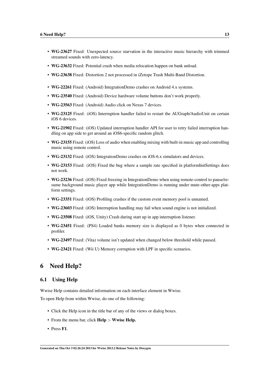- WG-23627 Fixed: Unexpected source starvation in the interactive music hierarchy with trimmed streamed sounds with zero-latency.
- WG-23632 Fixed: Potential crash when media relocation happen on bank unload.
- WG-23638 Fixed: Distortion 2 not processed in iZotope Trash Multi-Band Distortion.
- WG-22261 Fixed: (Android) IntegrationDemo crashes on Android 4.x systems.
- WG-23540 Fixed: (Android) Device hardware volume buttons don't work properly.
- WG-23563 Fixed: (Android) Audio click on Nexus 7 devices.
- WG-23125 Fixed: (iOS) Interruption handler failed to restart the AUGraph/AudioUnit on certain iOS 6 devices.
- WG-21902 Fixed: (iOS) Updated interruption handler API for user to retry failed interruption handling on app side to get around an iOS6-specific random glitch.
- WG-23155 Fixed: (iOS) Loss of audio when enabling mixing with built-in music app and controlling music using remote control.
- WG-23132 Fixed: (iOS) IntegrationDemo crashes on iOS-6.x simulators and devices.
- WG-23153 Fixed: (iOS) Fixed the bug where a sample rate specified in platformInitSettings does not work.
- WG-23236 Fixed: (iOS) Fixed freezing in IntegrationDemo when using remote-control to pause/resume background music player app while IntegrationDemo is running under mute-other-apps platform settings.
- WG-23351 Fixed: (iOS) Profiling crashes if the custom event memory pool is unnamed.
- WG-23603 Fixed: (iOS) Interruption handling may fail when sound engine is not initialized.
- WG-23508 Fixed: (iOS, Unity) Crash during start up in app interruption listener.
- WG-23451 Fixed: (PS4) Loaded banks memory size is displayed as 0 bytes when connected in profiler.
- WG-23497 Fixed: (Vita) volume isn't updated when changed below threshold while paused.
- WG-23421 Fixed: (Wii U) Memory corruption with LPF in specific scenarios.

# <span id="page-14-0"></span>6 Need Help?

### <span id="page-14-1"></span>6.1 Using Help

Wwise Help contains detailed information on each interface element in Wwise.

To open Help from within Wwise, do one of the following:

- Click the Help icon in the title bar of any of the views or dialog boxes.
- From the menu bar, click **Help** > Wwise Help.
- Press F1.